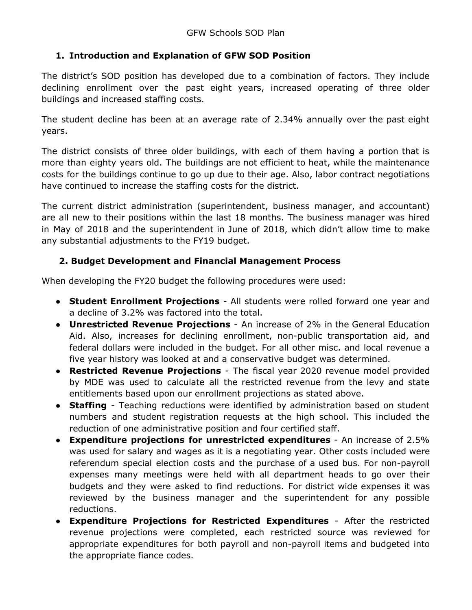## **1. Introduction and Explanation of GFW SOD Position**

The district's SOD position has developed due to a combination of factors. They include declining enrollment over the past eight years, increased operating of three older buildings and increased staffing costs.

The student decline has been at an average rate of 2.34% annually over the past eight years.

The district consists of three older buildings, with each of them having a portion that is more than eighty years old. The buildings are not efficient to heat, while the maintenance costs for the buildings continue to go up due to their age. Also, labor contract negotiations have continued to increase the staffing costs for the district.

The current district administration (superintendent, business manager, and accountant) are all new to their positions within the last 18 months. The business manager was hired in May of 2018 and the superintendent in June of 2018, which didn't allow time to make any substantial adjustments to the FY19 budget.

## **2. Budget Development and Financial Management Process**

When developing the FY20 budget the following procedures were used:

- **Student Enrollment Projections** All students were rolled forward one year and a decline of 3.2% was factored into the total.
- **Unrestricted Revenue Projections** An increase of 2% in the General Education Aid. Also, increases for declining enrollment, non-public transportation aid, and federal dollars were included in the budget. For all other misc. and local revenue a five year history was looked at and a conservative budget was determined.
- **Restricted Revenue Projections** The fiscal year 2020 revenue model provided by MDE was used to calculate all the restricted revenue from the levy and state entitlements based upon our enrollment projections as stated above.
- **Staffing** Teaching reductions were identified by administration based on student numbers and student registration requests at the high school. This included the reduction of one administrative position and four certified staff.
- **Expenditure projections for unrestricted expenditures** An increase of 2.5% was used for salary and wages as it is a negotiating year. Other costs included were referendum special election costs and the purchase of a used bus. For non-payroll expenses many meetings were held with all department heads to go over their budgets and they were asked to find reductions. For district wide expenses it was reviewed by the business manager and the superintendent for any possible reductions.
- **● Expenditure Projections for Restricted Expenditures** After the restricted revenue projections were completed, each restricted source was reviewed for appropriate expenditures for both payroll and non-payroll items and budgeted into the appropriate fiance codes.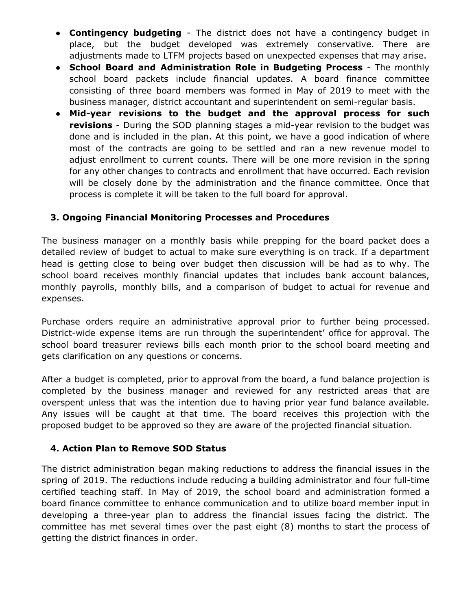- **● Contingency budgeting** The district does not have a contingency budget in place, but the budget developed was extremely conservative. There are adjustments made to LTFM projects based on unexpected expenses that may arise.
- **● School Board and Administration Role in Budgeting Process** The monthly school board packets include financial updates. A board finance committee consisting of three board members was formed in May of 2019 to meet with the business manager, district accountant and superintendent on semi-regular basis.
- **● Mid-year revisions to the budget and the approval process for such revisions** - During the SOD planning stages a mid-year revision to the budget was done and is included in the plan. At this point, we have a good indication of where most of the contracts are going to be settled and ran a new revenue model to adjust enrollment to current counts. There will be one more revision in the spring for any other changes to contracts and enrollment that have occurred. Each revision will be closely done by the administration and the finance committee. Once that process is complete it will be taken to the full board for approval.

## **3. Ongoing Financial Monitoring Processes and Procedures**

The business manager on a monthly basis while prepping for the board packet does a detailed review of budget to actual to make sure everything is on track. If a department head is getting close to being over budget then discussion will be had as to why. The school board receives monthly financial updates that includes bank account balances, monthly payrolls, monthly bills, and a comparison of budget to actual for revenue and expenses.

Purchase orders require an administrative approval prior to further being processed. District-wide expense items are run through the superintendent' office for approval. The school board treasurer reviews bills each month prior to the school board meeting and gets clarification on any questions or concerns.

After a budget is completed, prior to approval from the board, a fund balance projection is completed by the business manager and reviewed for any restricted areas that are overspent unless that was the intention due to having prior year fund balance available. Any issues will be caught at that time. The board receives this projection with the proposed budget to be approved so they are aware of the projected financial situation.

## **4. Action Plan to Remove SOD Status**

The district administration began making reductions to address the financial issues in the spring of 2019. The reductions include reducing a building administrator and four full-time certified teaching staff. In May of 2019, the school board and administration formed a board finance committee to enhance communication and to utilize board member input in developing a three-year plan to address the financial issues facing the district. The committee has met several times over the past eight (8) months to start the process of getting the district finances in order.